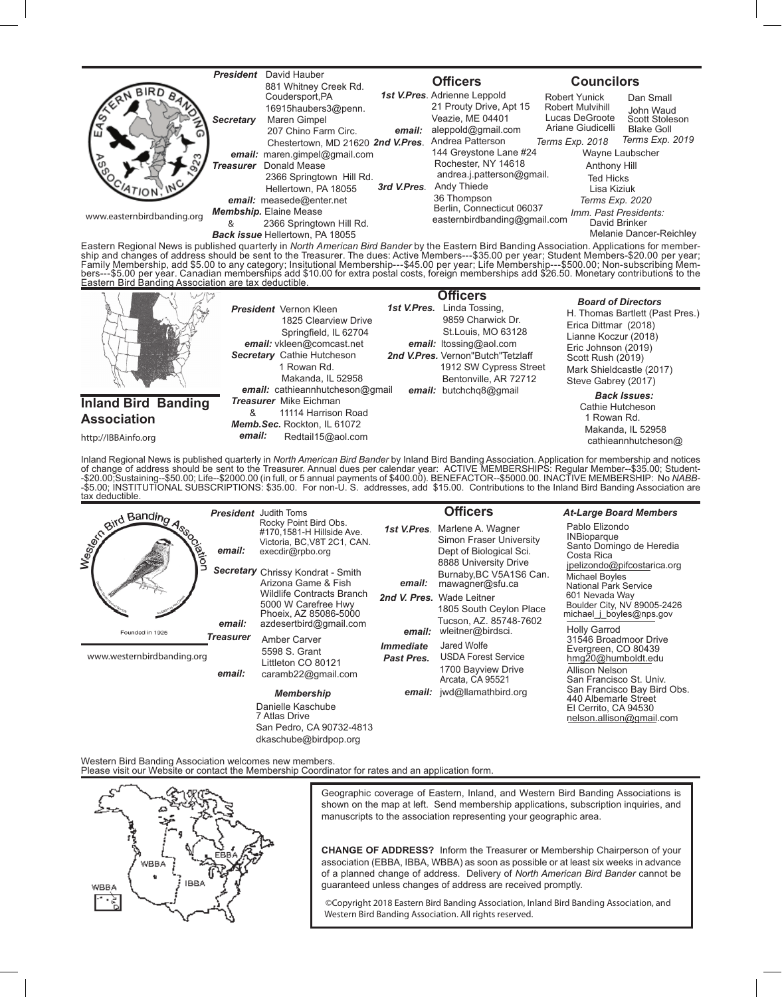

Eastern Regional News is published quarterly in *North American Bird Bander* by the Eastern Bird Banding Association. Applications for member-<br>ship and changes of address should be sent to the Treasurer. The dues: Active M Family Membership, add \$5.00 to any category; Insitutional Membership---\$45.00 per year; Life Membership---\$500.00; Non-subscribing Mem-<br>bers---\$5.00 per year. Canadian memberships add \$10.00 for extra postal costs, foreig



http://IBBAinfo.org

Inland Regional News is published quarterly in *North American Bird Bander* by Inland Bird Banding Association. Application for membership and notices<br>of change of address should be sent to the Treasurer. Annual dues per c tax deductible.

| and Banding<br>ation       |                                      | <b>President</b> Judith Toms<br>Rocky Point Bird Obs.<br>#170.1581-H Hillside Ave.                      | 1st V.Pres.                           | <b>Officers</b><br>Marlene A. Wagner                                                                                                                       | <b>At-Large Board Members</b><br>Pablo Elizondo<br><b>INBioparque</b>                                                                                                                                                                                                                   |
|----------------------------|--------------------------------------|---------------------------------------------------------------------------------------------------------|---------------------------------------|------------------------------------------------------------------------------------------------------------------------------------------------------------|-----------------------------------------------------------------------------------------------------------------------------------------------------------------------------------------------------------------------------------------------------------------------------------------|
|                            | email:                               | Victoria, BC, V8T 2C1, CAN.<br>execdir@rpbo.org<br>Secretary Chrissy Kondrat - Smith                    |                                       | Simon Fraser University<br>Dept of Biological Sci.<br>8888 University Drive                                                                                | Santo Domingo de Heredia<br>Costa Rica<br>jpelizondo@pifcostarica.org                                                                                                                                                                                                                   |
|                            |                                      | Arizona Game & Fish<br><b>Wildlife Contracts Branch</b><br>5000 W Carefree Hwy<br>Phoeix, AZ 85086-5000 | email:                                | Burnaby, BC V5A1S6 Can.<br>mawagner@sfu.ca                                                                                                                 | <b>Michael Boyles</b><br><b>National Park Service</b><br>601 Nevada Way<br>Boulder City, NV 89005-2426<br>michael $\mathsf{i}$ boyles@nps.gov<br><b>Holly Garrod</b><br>31546 Broadmoor Drive<br>Evergreen, CO 80439<br>hmg20@humboldt.edu<br>Allison Nelson<br>San Francisco St. Univ. |
|                            |                                      |                                                                                                         |                                       | 2nd V. Pres. Wade Leitner<br>1805 South Ceylon Place<br>Tucson, AZ. 85748-7602<br>wleitner@birdsci.<br>email:<br>Jared Wolfe<br><b>USDA Forest Service</b> |                                                                                                                                                                                                                                                                                         |
| Founded in 1925            | email:<br><b>Treasurer</b><br>email: | azdesertbird@gmail.com<br>Amber Carver<br>5598 S. Grant<br>Littleton CO 80121<br>caramb22@gmail.com     |                                       |                                                                                                                                                            |                                                                                                                                                                                                                                                                                         |
| www.westernbirdbanding.org |                                      |                                                                                                         | <i><b>Immediate</b></i><br>Past Pres. |                                                                                                                                                            |                                                                                                                                                                                                                                                                                         |
|                            |                                      |                                                                                                         |                                       | 1700 Bayview Drive<br>Arcata, CA 95521                                                                                                                     |                                                                                                                                                                                                                                                                                         |
|                            |                                      | <b>Membership</b>                                                                                       |                                       | email: jwd@llamathbird.org                                                                                                                                 | San Francisco Bay Bird Obs.<br>440 Albemarle Street                                                                                                                                                                                                                                     |
|                            |                                      | Danielle Kaschube<br><b>7 Atlas Drive</b>                                                               |                                       |                                                                                                                                                            | El Cerrito, CA 94530<br>nelson.allison@gmail.com                                                                                                                                                                                                                                        |
|                            |                                      | San Pedro, CA 90732-4813                                                                                |                                       |                                                                                                                                                            |                                                                                                                                                                                                                                                                                         |

Western Bird Banding Association welcomes new members. Please visit our Website or contact the Membership Coordinator for rates and an application form.

dkaschube@birdpop.org



Geographic coverage of Eastern, Inland, and Western Bird Banding Associations is shown on the map at left. Send membership applications, subscription inquiries, and manuscripts to the association representing your geographic area.

**CHANGE OF ADDRESS?** Inform the Treasurer or Membership Chairperson of your association (EBBA, IBBA, WBBA) as soon as possible or at least six weeks in advance of a planned change of address. Delivery of *North American Bird Bander* cannot be guaranteed unless changes of address are received promptly.

 ©Copyright 2018 Eastern Bird Banding Association, Inland Bird Banding Association, and Western Bird Banding Association. All rights reserved.